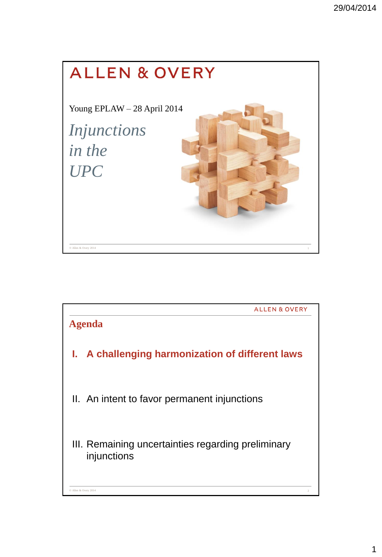

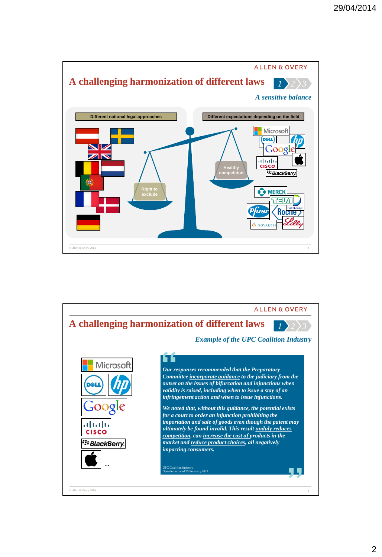

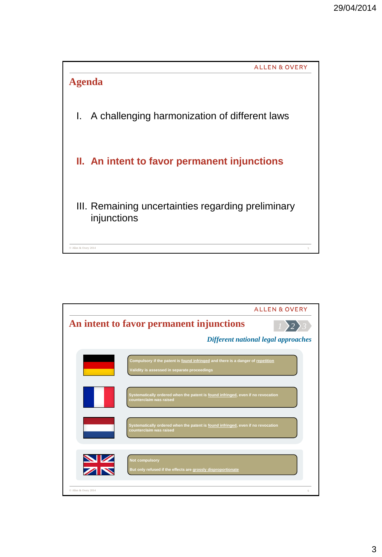

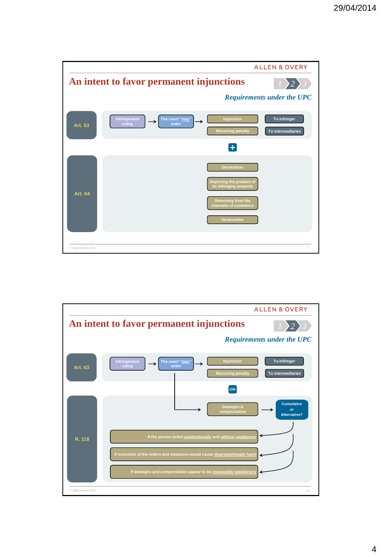

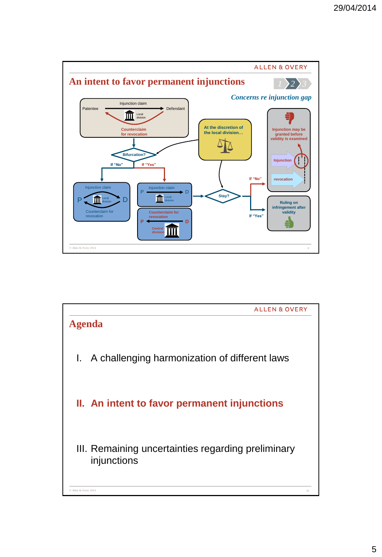

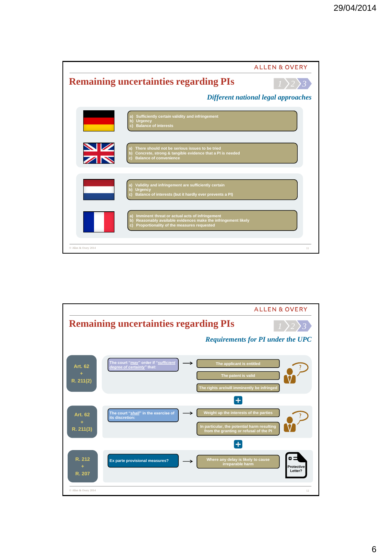

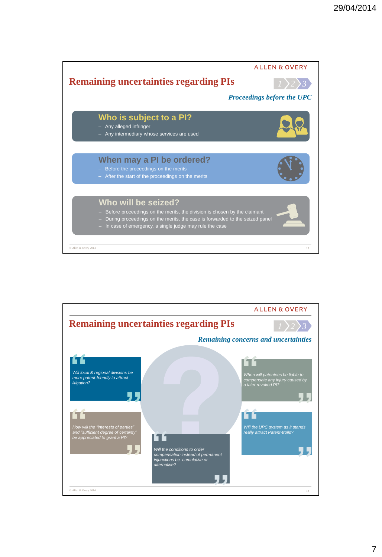